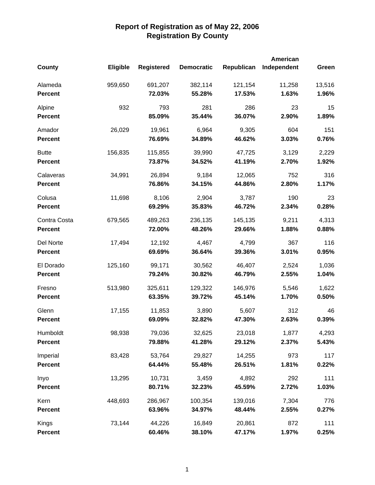|                |                 |                   |                   |            | <b>American</b> |        |
|----------------|-----------------|-------------------|-------------------|------------|-----------------|--------|
| <b>County</b>  | <b>Eligible</b> | <b>Registered</b> | <b>Democratic</b> | Republican | Independent     | Green  |
| Alameda        | 959,650         | 691,207           | 382,114           | 121,154    | 11,258          | 13,516 |
| <b>Percent</b> |                 | 72.03%            | 55.28%            | 17.53%     | 1.63%           | 1.96%  |
| Alpine         | 932             | 793               | 281               | 286        | 23              | 15     |
| <b>Percent</b> |                 | 85.09%            | 35.44%            | 36.07%     | 2.90%           | 1.89%  |
| Amador         | 26,029          | 19,961            | 6,964             | 9,305      | 604             | 151    |
| <b>Percent</b> |                 | 76.69%            | 34.89%            | 46.62%     | 3.03%           | 0.76%  |
| <b>Butte</b>   | 156,835         | 115,855           | 39,990            | 47,725     | 3,129           | 2,229  |
| <b>Percent</b> |                 | 73.87%            | 34.52%            | 41.19%     | 2.70%           | 1.92%  |
| Calaveras      | 34,991          | 26,894            | 9,184             | 12,065     | 752             | 316    |
| <b>Percent</b> |                 | 76.86%            | 34.15%            | 44.86%     | 2.80%           | 1.17%  |
| Colusa         | 11,698          | 8,106             | 2,904             | 3,787      | 190             | 23     |
| <b>Percent</b> |                 | 69.29%            | 35.83%            | 46.72%     | 2.34%           | 0.28%  |
| Contra Costa   | 679,565         | 489,263           | 236,135           | 145,135    | 9,211           | 4,313  |
| <b>Percent</b> |                 | 72.00%            | 48.26%            | 29.66%     | 1.88%           | 0.88%  |
| Del Norte      | 17,494          | 12,192            | 4,467             | 4,799      | 367             | 116    |
| <b>Percent</b> |                 | 69.69%            | 36.64%            | 39.36%     | 3.01%           | 0.95%  |
| El Dorado      | 125,160         | 99,171            | 30,562            | 46,407     | 2,524           | 1,036  |
| <b>Percent</b> |                 | 79.24%            | 30.82%            | 46.79%     | 2.55%           | 1.04%  |
| Fresno         | 513,980         | 325,611           | 129,322           | 146,976    | 5,546           | 1,622  |
| <b>Percent</b> |                 | 63.35%            | 39.72%            | 45.14%     | 1.70%           | 0.50%  |
| Glenn          | 17,155          | 11,853            | 3,890             | 5,607      | 312             | 46     |
| <b>Percent</b> |                 | 69.09%            | 32.82%            | 47.30%     | 2.63%           | 0.39%  |
| Humboldt       | 98,938          | 79,036            | 32,625            | 23,018     | 1,877           | 4,293  |
| <b>Percent</b> |                 | 79.88%            | 41.28%            | 29.12%     | 2.37%           | 5.43%  |
| Imperial       | 83,428          | 53,764            | 29,827            | 14,255     | 973             | 117    |
| <b>Percent</b> |                 | 64.44%            | 55.48%            | 26.51%     | 1.81%           | 0.22%  |
| Inyo           | 13,295          | 10,731            | 3,459             | 4,892      | 292             | 111    |
| <b>Percent</b> |                 | 80.71%            | 32.23%            | 45.59%     | 2.72%           | 1.03%  |
| Kern           | 448,693         | 286,967           | 100,354           | 139,016    | 7,304           | 776    |
| <b>Percent</b> |                 | 63.96%            | 34.97%            | 48.44%     | 2.55%           | 0.27%  |
| Kings          | 73,144          | 44,226            | 16,849            | 20,861     | 872             | 111    |
| <b>Percent</b> |                 | 60.46%            | 38.10%            | 47.17%     | 1.97%           | 0.25%  |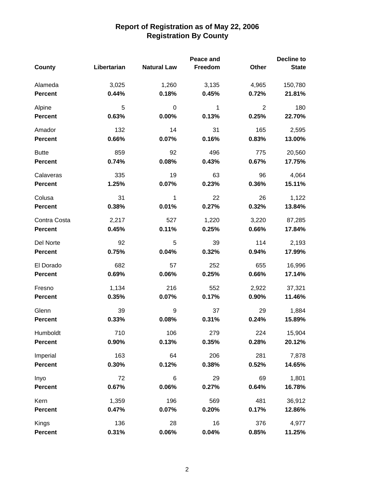|                |             |                    | Peace and |                | <b>Decline to</b> |
|----------------|-------------|--------------------|-----------|----------------|-------------------|
| County         | Libertarian | <b>Natural Law</b> | Freedom   | Other          | <b>State</b>      |
| Alameda        | 3,025       | 1,260              | 3,135     | 4,965          | 150,780           |
| <b>Percent</b> | 0.44%       | 0.18%              | 0.45%     | 0.72%          | 21.81%            |
| Alpine         | 5           | 0                  | 1         | $\overline{2}$ | 180               |
| <b>Percent</b> | 0.63%       | 0.00%              | 0.13%     | 0.25%          | 22.70%            |
| Amador         | 132         | 14                 | 31        | 165            | 2,595             |
| <b>Percent</b> | 0.66%       | 0.07%              | 0.16%     | 0.83%          | 13.00%            |
| <b>Butte</b>   | 859         | 92                 | 496       | 775            | 20,560            |
| <b>Percent</b> | 0.74%       | 0.08%              | 0.43%     | 0.67%          | 17.75%            |
| Calaveras      | 335         | 19                 | 63        | 96             | 4,064             |
| <b>Percent</b> | 1.25%       | 0.07%              | 0.23%     | 0.36%          | 15.11%            |
| Colusa         | 31          | 1                  | 22        | 26             | 1,122             |
| <b>Percent</b> | 0.38%       | 0.01%              | 0.27%     | 0.32%          | 13.84%            |
| Contra Costa   | 2,217       | 527                | 1,220     | 3,220          | 87,285            |
| <b>Percent</b> | 0.45%       | 0.11%              | 0.25%     | 0.66%          | 17.84%            |
| Del Norte      | 92          | 5                  | 39        | 114            | 2,193             |
| <b>Percent</b> | 0.75%       | 0.04%              | 0.32%     | 0.94%          | 17.99%            |
| El Dorado      | 682         | 57                 | 252       | 655            | 16,996            |
| <b>Percent</b> | 0.69%       | 0.06%              | 0.25%     | 0.66%          | 17.14%            |
| Fresno         | 1,134       | 216                | 552       | 2,922          | 37,321            |
| <b>Percent</b> | 0.35%       | 0.07%              | 0.17%     | 0.90%          | 11.46%            |
| Glenn          | 39          | 9                  | 37        | 29             | 1,884             |
| <b>Percent</b> | 0.33%       | 0.08%              | 0.31%     | 0.24%          | 15.89%            |
| Humboldt       | 710         | 106                | 279       | 224            | 15,904            |
| Percent        | 0.90%       | 0.13%              | 0.35%     | 0.28%          | 20.12%            |
| Imperial       | 163         | 64                 | 206       | 281            | 7,878             |
| <b>Percent</b> | 0.30%       | 0.12%              | 0.38%     | 0.52%          | 14.65%            |
| Inyo           | 72          | 6                  | 29        | 69             | 1,801             |
| Percent        | 0.67%       | 0.06%              | 0.27%     | 0.64%          | 16.78%            |
| Kern           | 1,359       | 196                | 569       | 481            | 36,912            |
| Percent        | 0.47%       | 0.07%              | 0.20%     | 0.17%          | 12.86%            |
| Kings          | 136         | 28                 | 16        | 376            | 4,977             |
| Percent        | 0.31%       | 0.06%              | 0.04%     | 0.85%          | 11.25%            |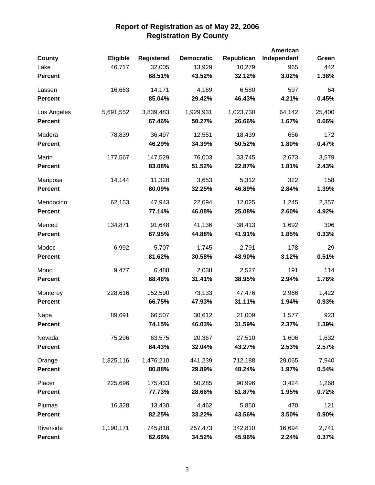| <b>County</b>  | Eligible  | <b>Registered</b> | <b>Democratic</b> | Republican | American<br>Independent | Green  |
|----------------|-----------|-------------------|-------------------|------------|-------------------------|--------|
| Lake           | 46,717    | 32,005            | 13,929            | 10,279     | 965                     | 442    |
| <b>Percent</b> |           | 68.51%            | 43.52%            | 32.12%     | 3.02%                   | 1.38%  |
| Lassen         | 16,663    | 14,171            | 4,169             | 6,580      | 597                     | 64     |
| <b>Percent</b> |           | 85.04%            | 29.42%            | 46.43%     | 4.21%                   | 0.45%  |
| Los Angeles    | 5,691,552 | 3,839,483         | 1,929,931         | 1,023,730  | 64,142                  | 25,400 |
| <b>Percent</b> |           | 67.46%            | 50.27%            | 26.66%     | 1.67%                   | 0.66%  |
| Madera         | 78,839    | 36,497            | 12,551            | 18,439     | 656                     | 172    |
| <b>Percent</b> |           | 46.29%            | 34.39%            | 50.52%     | 1.80%                   | 0.47%  |
| Marin          | 177,567   | 147,529           | 76,003            | 33,745     | 2,673                   | 3,579  |
| <b>Percent</b> |           | 83.08%            | 51.52%            | 22.87%     | 1.81%                   | 2.43%  |
| Mariposa       | 14,144    | 11,328            | 3,653             | 5,312      | 322                     | 158    |
| <b>Percent</b> |           | 80.09%            | 32.25%            | 46.89%     | 2.84%                   | 1.39%  |
| Mendocino      | 62,153    | 47,943            | 22,094            | 12,025     | 1,245                   | 2,357  |
| <b>Percent</b> |           | 77.14%            | 46.08%            | 25.08%     | 2.60%                   | 4.92%  |
| Merced         | 134,871   | 91,648            | 41,136            | 38,413     | 1,692                   | 306    |
| Percent        |           | 67.95%            | 44.88%            | 41.91%     | 1.85%                   | 0.33%  |
| Modoc          | 6,992     | 5,707             | 1,745             | 2,791      | 178                     | 29     |
| <b>Percent</b> |           | 81.62%            | 30.58%            | 48.90%     | 3.12%                   | 0.51%  |
| Mono           | 9,477     | 6,488             | 2,038             | 2,527      | 191                     | 114    |
| <b>Percent</b> |           | 68.46%            | 31.41%            | 38.95%     | 2.94%                   | 1.76%  |
| Monterey       | 228,616   | 152,590           | 73,133            | 47,476     | 2,966                   | 1,422  |
| <b>Percent</b> |           | 66.75%            | 47.93%            | 31.11%     | 1.94%                   | 0.93%  |
| Napa           | 89,691    | 66,507            | 30,612            | 21,009     | 1,577                   | 923    |
| <b>Percent</b> |           | 74.15%            | 46.03%            | 31.59%     | 2.37%                   | 1.39%  |
| Nevada         | 75,296    | 63,575            | 20,367            | 27,510     | 1,606                   | 1,632  |
| <b>Percent</b> |           | 84.43%            | 32.04%            | 43.27%     | 2.53%                   | 2.57%  |
| Orange         | 1,825,116 | 1,476,210         | 441,239           | 712,188    | 29,065                  | 7,940  |
| <b>Percent</b> |           | 80.88%            | 29.89%            | 48.24%     | 1.97%                   | 0.54%  |
| Placer         | 225,696   | 175,433           | 50,285            | 90,996     | 3,424                   | 1,268  |
| <b>Percent</b> |           | 77.73%            | 28.66%            | 51.87%     | 1.95%                   | 0.72%  |
| Plumas         | 16,328    | 13,430            | 4,462             | 5,850      | 470                     | 121    |
| <b>Percent</b> |           | 82.25%            | 33.22%            | 43.56%     | 3.50%                   | 0.90%  |
| Riverside      | 1,190,171 | 745,818           | 257,473           | 342,810    | 16,694                  | 2,741  |
| <b>Percent</b> |           | 62.66%            | 34.52%            | 45.96%     | 2.24%                   | 0.37%  |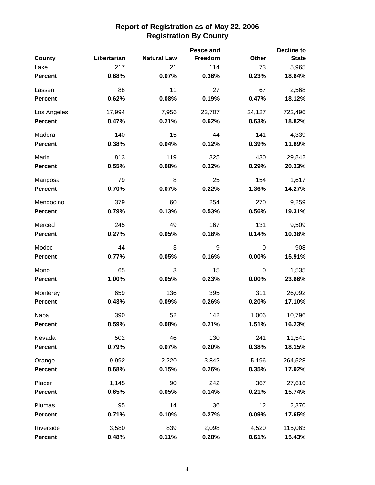|                |             |                    | Peace and |        | <b>Decline to</b> |
|----------------|-------------|--------------------|-----------|--------|-------------------|
| County         | Libertarian | <b>Natural Law</b> | Freedom   | Other  | <b>State</b>      |
| Lake           | 217         | 21                 | 114       | 73     | 5,965             |
| <b>Percent</b> | 0.68%       | 0.07%              | 0.36%     | 0.23%  | 18.64%            |
| Lassen         | 88          | 11                 | 27        | 67     | 2,568             |
| <b>Percent</b> | 0.62%       | 0.08%              | 0.19%     | 0.47%  | 18.12%            |
| Los Angeles    | 17,994      | 7,956              | 23,707    | 24,127 | 722,496           |
| <b>Percent</b> | 0.47%       | 0.21%              | 0.62%     | 0.63%  | 18.82%            |
| Madera         | 140         | 15                 | 44        | 141    | 4,339             |
| <b>Percent</b> | 0.38%       | 0.04%              | 0.12%     | 0.39%  | 11.89%            |
| Marin          | 813         | 119                | 325       | 430    | 29,842            |
| <b>Percent</b> | 0.55%       | 0.08%              | 0.22%     | 0.29%  | 20.23%            |
| Mariposa       | 79          | 8                  | 25        | 154    | 1,617             |
| <b>Percent</b> | 0.70%       | 0.07%              | 0.22%     | 1.36%  | 14.27%            |
| Mendocino      | 379         | 60                 | 254       | 270    | 9,259             |
| <b>Percent</b> | 0.79%       | 0.13%              | 0.53%     | 0.56%  | 19.31%            |
| Merced         | 245         | 49                 | 167       | 131    | 9,509             |
| <b>Percent</b> | 0.27%       | 0.05%              | 0.18%     | 0.14%  | 10.38%            |
| Modoc          | 44          | 3                  | 9         | 0      | 908               |
| <b>Percent</b> | 0.77%       | 0.05%              | 0.16%     | 0.00%  | 15.91%            |
| Mono           | 65          | 3                  | 15        | 0      | 1,535             |
| <b>Percent</b> | 1.00%       | 0.05%              | 0.23%     | 0.00%  | 23.66%            |
| Monterey       | 659         | 136                | 395       | 311    | 26,092            |
| <b>Percent</b> | 0.43%       | 0.09%              | 0.26%     | 0.20%  | 17.10%            |
| Napa           | 390         | 52                 | 142       | 1,006  | 10,796            |
| <b>Percent</b> | 0.59%       | 0.08%              | 0.21%     | 1.51%  | 16.23%            |
| Nevada         | 502         | 46                 | 130       | 241    | 11,541            |
| <b>Percent</b> | 0.79%       | 0.07%              | 0.20%     | 0.38%  | 18.15%            |
| Orange         | 9,992       | 2,220              | 3,842     | 5,196  | 264,528           |
| <b>Percent</b> | 0.68%       | 0.15%              | 0.26%     | 0.35%  | 17.92%            |
| Placer         | 1,145       | 90                 | 242       | 367    | 27,616            |
| <b>Percent</b> | 0.65%       | 0.05%              | 0.14%     | 0.21%  | 15.74%            |
| Plumas         | 95          | 14                 | 36        | 12     | 2,370             |
| <b>Percent</b> | 0.71%       | 0.10%              | 0.27%     | 0.09%  | 17.65%            |
| Riverside      | 3,580       | 839                | 2,098     | 4,520  | 115,063           |
| <b>Percent</b> | 0.48%       | 0.11%              | 0.28%     | 0.61%  | 15.43%            |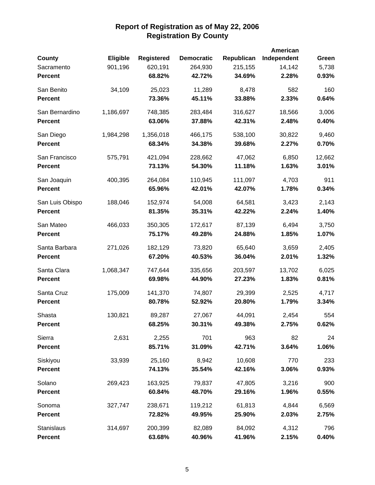|                 |           |                   |                   |            | American    |        |
|-----------------|-----------|-------------------|-------------------|------------|-------------|--------|
| <b>County</b>   | Eligible  | <b>Registered</b> | <b>Democratic</b> | Republican | Independent | Green  |
| Sacramento      | 901,196   | 620,191           | 264,930           | 215,155    | 14,142      | 5,738  |
| <b>Percent</b>  |           | 68.82%            | 42.72%            | 34.69%     | 2.28%       | 0.93%  |
| San Benito      | 34,109    | 25,023            | 11,289            | 8,478      | 582         | 160    |
| <b>Percent</b>  |           | 73.36%            | 45.11%            | 33.88%     | 2.33%       | 0.64%  |
| San Bernardino  | 1,186,697 | 748,385           | 283,484           | 316,627    | 18,566      | 3,006  |
| <b>Percent</b>  |           | 63.06%            | 37.88%            | 42.31%     | 2.48%       | 0.40%  |
| San Diego       | 1,984,298 | 1,356,018         | 466,175           | 538,100    | 30,822      | 9,460  |
| <b>Percent</b>  |           | 68.34%            | 34.38%            | 39.68%     | 2.27%       | 0.70%  |
| San Francisco   | 575,791   | 421,094           | 228,662           | 47,062     | 6,850       | 12,662 |
| <b>Percent</b>  |           | 73.13%            | 54.30%            | 11.18%     | 1.63%       | 3.01%  |
| San Joaquin     | 400,395   | 264,084           | 110,945           | 111,097    | 4,703       | 911    |
| <b>Percent</b>  |           | 65.96%            | 42.01%            | 42.07%     | 1.78%       | 0.34%  |
| San Luis Obispo | 188,046   | 152,974           | 54,008            | 64,581     | 3,423       | 2,143  |
| <b>Percent</b>  |           | 81.35%            | 35.31%            | 42.22%     | 2.24%       | 1.40%  |
| San Mateo       | 466,033   | 350,305           | 172,617           | 87,139     | 6,494       | 3,750  |
| <b>Percent</b>  |           | 75.17%            | 49.28%            | 24.88%     | 1.85%       | 1.07%  |
| Santa Barbara   | 271,026   | 182,129           | 73,820            | 65,640     | 3,659       | 2,405  |
| <b>Percent</b>  |           | 67.20%            | 40.53%            | 36.04%     | 2.01%       | 1.32%  |
| Santa Clara     | 1,068,347 | 747,644           | 335,656           | 203,597    | 13,702      | 6,025  |
| <b>Percent</b>  |           | 69.98%            | 44.90%            | 27.23%     | 1.83%       | 0.81%  |
| Santa Cruz      | 175,009   | 141,370           | 74,807            | 29,399     | 2,525       | 4,717  |
| <b>Percent</b>  |           | 80.78%            | 52.92%            | 20.80%     | 1.79%       | 3.34%  |
| Shasta          | 130,821   | 89,287            | 27,067            | 44,091     | 2,454       | 554    |
| <b>Percent</b>  |           | 68.25%            | 30.31%            | 49.38%     | 2.75%       | 0.62%  |
| Sierra          | 2,631     | 2,255             | 701               | 963        | 82          | 24     |
| <b>Percent</b>  |           | 85.71%            | 31.09%            | 42.71%     | 3.64%       | 1.06%  |
| Siskiyou        | 33,939    | 25,160            | 8,942             | 10,608     | 770         | 233    |
| <b>Percent</b>  |           | 74.13%            | 35.54%            | 42.16%     | 3.06%       | 0.93%  |
| Solano          | 269,423   | 163,925           | 79,837            | 47,805     | 3,216       | 900    |
| <b>Percent</b>  |           | 60.84%            | 48.70%            | 29.16%     | 1.96%       | 0.55%  |
| Sonoma          | 327,747   | 238,671           | 119,212           | 61,813     | 4,844       | 6,569  |
| <b>Percent</b>  |           | 72.82%            | 49.95%            | 25.90%     | 2.03%       | 2.75%  |
| Stanislaus      | 314,697   | 200,399           | 82,089            | 84,092     | 4,312       | 796    |
| <b>Percent</b>  |           | 63.68%            | 40.96%            | 41.96%     | 2.15%       | 0.40%  |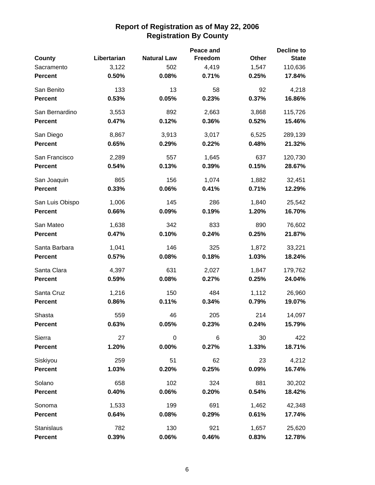|                 |             |                    | Peace and |              | <b>Decline to</b> |
|-----------------|-------------|--------------------|-----------|--------------|-------------------|
| County          | Libertarian | <b>Natural Law</b> | Freedom   | <b>Other</b> | <b>State</b>      |
| Sacramento      | 3,122       | 502                | 4,419     | 1,547        | 110,636           |
| <b>Percent</b>  | 0.50%       | 0.08%              | 0.71%     | 0.25%        | 17.84%            |
| San Benito      | 133         | 13                 | 58        | 92           | 4,218             |
| <b>Percent</b>  | 0.53%       | 0.05%              | 0.23%     | 0.37%        | 16.86%            |
| San Bernardino  | 3,553       | 892                | 2,663     | 3,868        | 115,726           |
| <b>Percent</b>  | 0.47%       | 0.12%              | 0.36%     | 0.52%        | 15.46%            |
| San Diego       | 8,867       | 3,913              | 3,017     | 6,525        | 289,139           |
| <b>Percent</b>  | 0.65%       | 0.29%              | 0.22%     | 0.48%        | 21.32%            |
| San Francisco   | 2,289       | 557                | 1,645     | 637          | 120,730           |
| <b>Percent</b>  | 0.54%       | 0.13%              | 0.39%     | 0.15%        | 28.67%            |
| San Joaquin     | 865         | 156                | 1,074     | 1,882        | 32,451            |
| <b>Percent</b>  | 0.33%       | 0.06%              | 0.41%     | 0.71%        | 12.29%            |
| San Luis Obispo | 1,006       | 145                | 286       | 1,840        | 25,542            |
| <b>Percent</b>  | 0.66%       | 0.09%              | 0.19%     | 1.20%        | 16.70%            |
| San Mateo       | 1,638       | 342                | 833       | 890          | 76,602            |
| <b>Percent</b>  | 0.47%       | 0.10%              | 0.24%     | 0.25%        | 21.87%            |
| Santa Barbara   | 1,041       | 146                | 325       | 1,872        | 33,221            |
| <b>Percent</b>  | 0.57%       | 0.08%              | 0.18%     | 1.03%        | 18.24%            |
| Santa Clara     | 4,397       | 631                | 2,027     | 1,847        | 179,762           |
| <b>Percent</b>  | 0.59%       | 0.08%              | 0.27%     | 0.25%        | 24.04%            |
| Santa Cruz      | 1,216       | 150                | 484       | 1,112        | 26,960            |
| <b>Percent</b>  | 0.86%       | 0.11%              | 0.34%     | 0.79%        | 19.07%            |
| Shasta          | 559         | 46                 | 205       | 214          | 14,097            |
| <b>Percent</b>  | 0.63%       | 0.05%              | 0.23%     | 0.24%        | 15.79%            |
| Sierra          | 27          | $\mathbf 0$        | 6         | 30           | 422               |
| <b>Percent</b>  | 1.20%       | 0.00%              | 0.27%     | 1.33%        | 18.71%            |
| Siskiyou        | 259         | 51                 | 62        | 23           | 4,212             |
| <b>Percent</b>  | 1.03%       | 0.20%              | 0.25%     | 0.09%        | 16.74%            |
| Solano          | 658         | 102                | 324       | 881          | 30,202            |
| <b>Percent</b>  | 0.40%       | 0.06%              | 0.20%     | 0.54%        | 18.42%            |
| Sonoma          | 1,533       | 199                | 691       | 1,462        | 42,348            |
| <b>Percent</b>  | 0.64%       | 0.08%              | 0.29%     | 0.61%        | 17.74%            |
| Stanislaus      | 782         | 130                | 921       | 1,657        | 25,620            |
| <b>Percent</b>  | 0.39%       | 0.06%              | 0.46%     | 0.83%        | 12.78%            |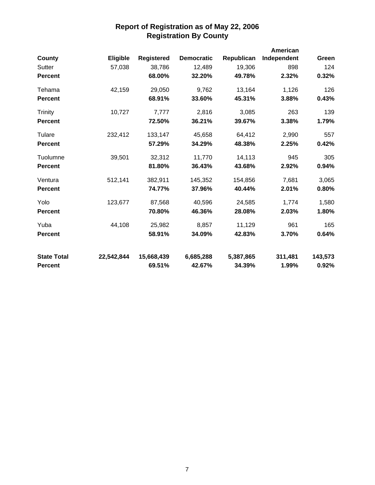|                    |            |                   |                   |            | American    |         |
|--------------------|------------|-------------------|-------------------|------------|-------------|---------|
| County             | Eligible   | <b>Registered</b> | <b>Democratic</b> | Republican | Independent | Green   |
| Sutter             | 57,038     | 38,786            | 12,489            | 19,306     | 898         | 124     |
| <b>Percent</b>     |            | 68.00%            | 32.20%            | 49.78%     | 2.32%       | 0.32%   |
| Tehama             | 42,159     | 29,050            | 9,762             | 13,164     | 1,126       | 126     |
| <b>Percent</b>     |            | 68.91%            | 33.60%            | 45.31%     | 3.88%       | 0.43%   |
| Trinity            | 10,727     | 7,777             | 2,816             | 3,085      | 263         | 139     |
| <b>Percent</b>     |            | 72.50%            | 36.21%            | 39.67%     | 3.38%       | 1.79%   |
| Tulare             | 232,412    | 133,147           | 45,658            | 64,412     | 2,990       | 557     |
| <b>Percent</b>     |            | 57.29%            | 34.29%            | 48.38%     | 2.25%       | 0.42%   |
| Tuolumne           | 39,501     | 32,312            | 11,770            | 14,113     | 945         | 305     |
| <b>Percent</b>     |            | 81.80%            | 36.43%            | 43.68%     | 2.92%       | 0.94%   |
| Ventura            | 512,141    | 382,911           | 145,352           | 154,856    | 7,681       | 3,065   |
| <b>Percent</b>     |            | 74.77%            | 37.96%            | 40.44%     | 2.01%       | 0.80%   |
| Yolo               | 123,677    | 87,568            | 40,596            | 24,585     | 1,774       | 1,580   |
| <b>Percent</b>     |            | 70.80%            | 46.36%            | 28.08%     | 2.03%       | 1.80%   |
| Yuba               | 44,108     | 25,982            | 8,857             | 11,129     | 961         | 165     |
| <b>Percent</b>     |            | 58.91%            | 34.09%            | 42.83%     | 3.70%       | 0.64%   |
| <b>State Total</b> | 22,542,844 | 15,668,439        | 6,685,288         | 5,387,865  | 311,481     | 143,573 |
| <b>Percent</b>     |            | 69.51%            | 42.67%            | 34.39%     | 1.99%       | 0.92%   |